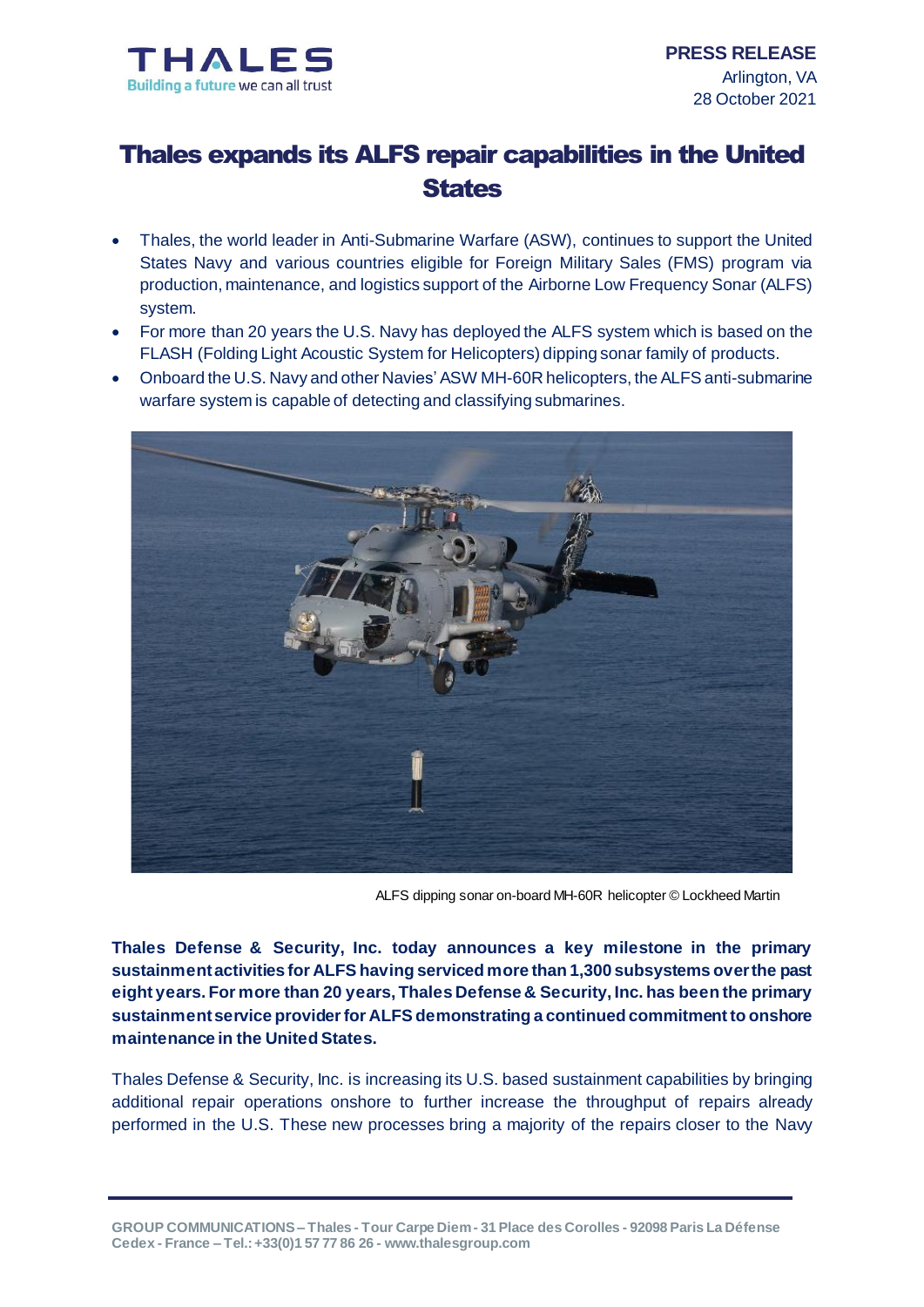

## Thales expands its ALFS repair capabilities in the United **States**

- Thales, the world leader in Anti-Submarine Warfare (ASW), continues to support the United States Navy and various countries eligible for Foreign Military Sales (FMS) program via production, maintenance, and logistics support of the Airborne Low Frequency Sonar (ALFS) system.
- For more than 20 years the U.S. Navy has deployed the ALFS system which is based on the FLASH (Folding Light Acoustic System for Helicopters) dipping sonar family of products.
- Onboard the U.S. Navy and other Navies' ASW MH-60R helicopters, the ALFS anti-submarine warfare system is capable of detecting and classifying submarines.



ALFS dipping sonar on-board MH-60R helicopter © Lockheed Martin

**Thales Defense & Security, Inc. today announces a key milestone in the primary sustainment activities for ALFS having serviced more than 1,300 subsystems over the past eight years. For more than 20 years, Thales Defense & Security, Inc. has been the primary sustainment service provider for ALFS demonstrating a continued commitment to onshore maintenance in the United States.**

Thales Defense & Security, Inc. is increasing its U.S. based sustainment capabilities by bringing additional repair operations onshore to further increase the throughput of repairs already performed in the U.S. These new processes bring a majority of the repairs closer to the Navy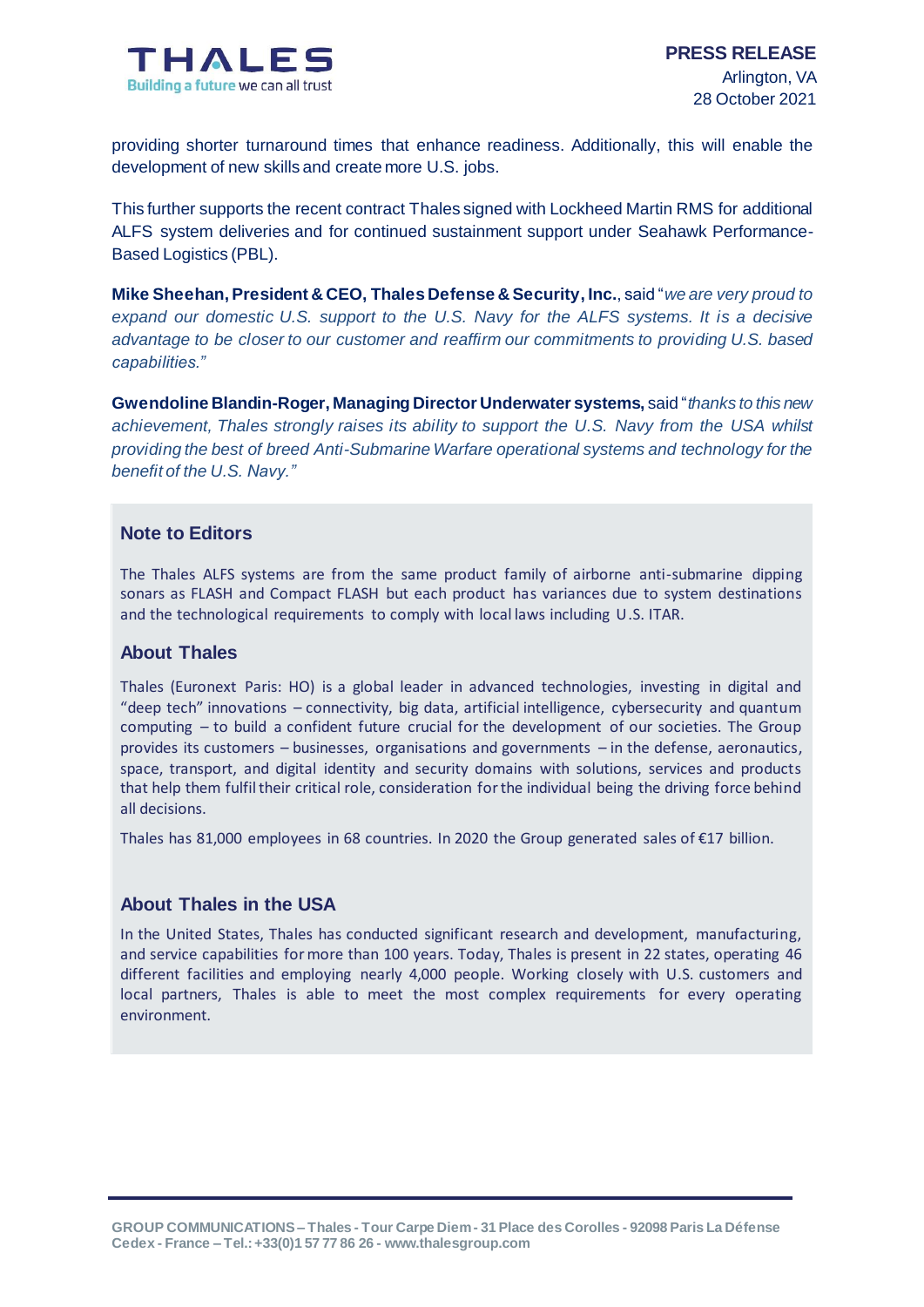

providing shorter turnaround times that enhance readiness. Additionally, this will enable the development of new skills and create more U.S. jobs.

This further supports the recent contract Thales signed with Lockheed Martin RMS for additional ALFS system deliveries and for continued sustainment support under Seahawk Performance-Based Logistics (PBL).

**Mike Sheehan, President & CEO, Thales Defense & Security, Inc.**, said "*we are very proud to expand our domestic U.S. support to the U.S. Navy for the ALFS systems. It is a decisive advantage to be closer to our customer and reaffirm our commitments to providing U.S. based capabilities."* 

**Gwendoline Blandin-Roger, Managing Director Underwater systems,** said "*thanks to this new achievement, Thales strongly raises its ability to support the U.S. Navy from the USA whilst providing the best of breed Anti-Submarine Warfare operational systems and technology for the benefit of the U.S. Navy."*

#### **Note to Editors**

The Thales ALFS systems are from the same product family of airborne anti-submarine dipping sonars as FLASH and Compact FLASH but each product has variances due to system destinations and the technological requirements to comply with local laws including U.S. ITAR.

#### **About Thales**

Thales (Euronext Paris: HO) is a global leader in advanced technologies, investing in digital and "deep tech" innovations – connectivity, big data, artificial intelligence, cybersecurity and quantum computing – to build a confident future crucial for the development of our societies. The Group provides its customers – businesses, organisations and governments – in the defense, aeronautics, space, transport, and digital identity and security domains with solutions, services and products that help them fulfil their critical role, consideration for the individual being the driving force behind all decisions.

Thales has 81,000 employees in 68 countries. In 2020 the Group generated sales of €17 billion.

#### **About Thales in the USA**

In the United States, Thales has conducted significant research and development, manufacturing, and service capabilities for more than 100 years. Today, Thales is present in 22 states, operating 46 different facilities and employing nearly 4,000 people. Working closely with U.S. customers and local partners, Thales is able to meet the most complex requirements for every operating environment.